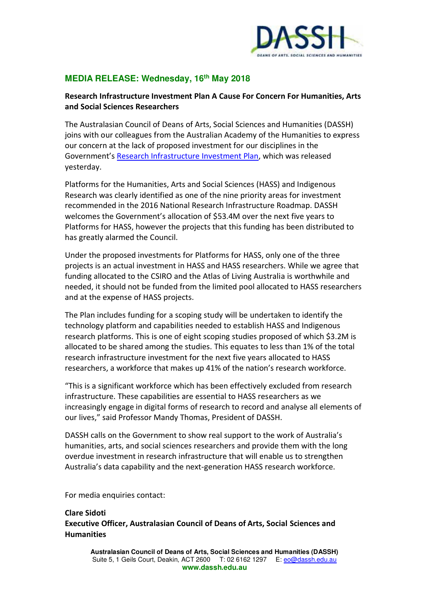

## **MEDIA RELEASE: Wednesday, 16th May 2018**

## **Research Infrastructure Investment Plan A Cause For Concern For Humanities, Arts and Social Sciences Researchers**

The Australasian Council of Deans of Arts, Social Sciences and Humanities (DASSH) joins with our colleagues from the Australian Academy of the Humanities to express our concern at the lack of proposed investment for our disciplines in the Government's [Research Infrastructure Investment Plan,](https://docs.education.gov.au/node/50601) which was released yesterday.

Platforms for the Humanities, Arts and Social Sciences (HASS) and Indigenous Research was clearly identified as one of the nine priority areas for investment recommended in the 2016 National Research Infrastructure Roadmap. DASSH welcomes the Government's allocation of \$53.4M over the next five years to Platforms for HASS, however the projects that this funding has been distributed to has greatly alarmed the Council.

Under the proposed investments for Platforms for HASS, only one of the three projects is an actual investment in HASS and HASS researchers. While we agree that funding allocated to the CSIRO and the Atlas of Living Australia is worthwhile and needed, it should not be funded from the limited pool allocated to HASS researchers and at the expense of HASS projects.

The Plan includes funding for a scoping study will be undertaken to identify the technology platform and capabilities needed to establish HASS and Indigenous research platforms. This is one of eight scoping studies proposed of which \$3.2M is allocated to be shared among the studies. This equates to less than 1% of the total research infrastructure investment for the next five years allocated to HASS researchers, a workforce that makes up 41% of the nation's research workforce.

"This is a significant workforce which has been effectively excluded from research infrastructure. These capabilities are essential to HASS researchers as we increasingly engage in digital forms of research to record and analyse all elements of our lives," said Professor Mandy Thomas, President of DASSH.

DASSH calls on the Government to show real support to the work of Australia's humanities, arts, and social sciences researchers and provide them with the long overdue investment in research infrastructure that will enable us to strengthen Australia's data capability and the next-generation HASS research workforce.

For media enquiries contact:

## **Clare Sidoti**

**Executive Officer, Australasian Council of Deans of Arts, Social Sciences and Humanities**